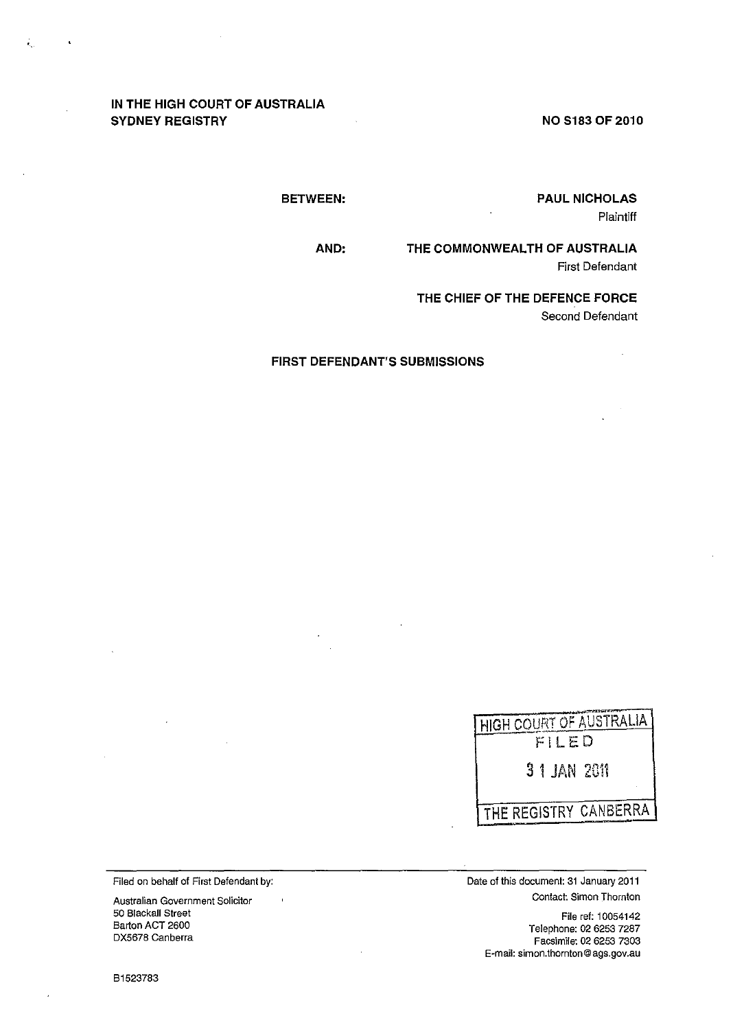# **IN THE HIGH COURT OF AUSTRALIA SYDNEY REGISTRY**

.<br>".

 $\bullet$ 

**NO S183 OF 2010** 

**PAUL NICHOLAS**  Plaintiff

**BETWEEN:** 

**AND: THE COMMONWEALTH OF AUSTRALIA** 

First Defendant

**THE CHIEF OF THE DEFENCE FORCE**  Second Defendant

**FIRST DEFENDANT'S SUBMISSIONS** 



Filed on behalf of First Defendant by:

 $\overline{\phantom{a}}$ 

**Australian Government Solicitor**  50 Blackall Street Barton ACT 2600 DX5678 Canberra

**Date of this document: 31 January 2011 Contact: Simon Thornton** 

> File ref: 10054142 Telephone: 02 6253 7287 Facsimile: 02 6253 7303 **E·mail: simon.thornton@ags.gov.au**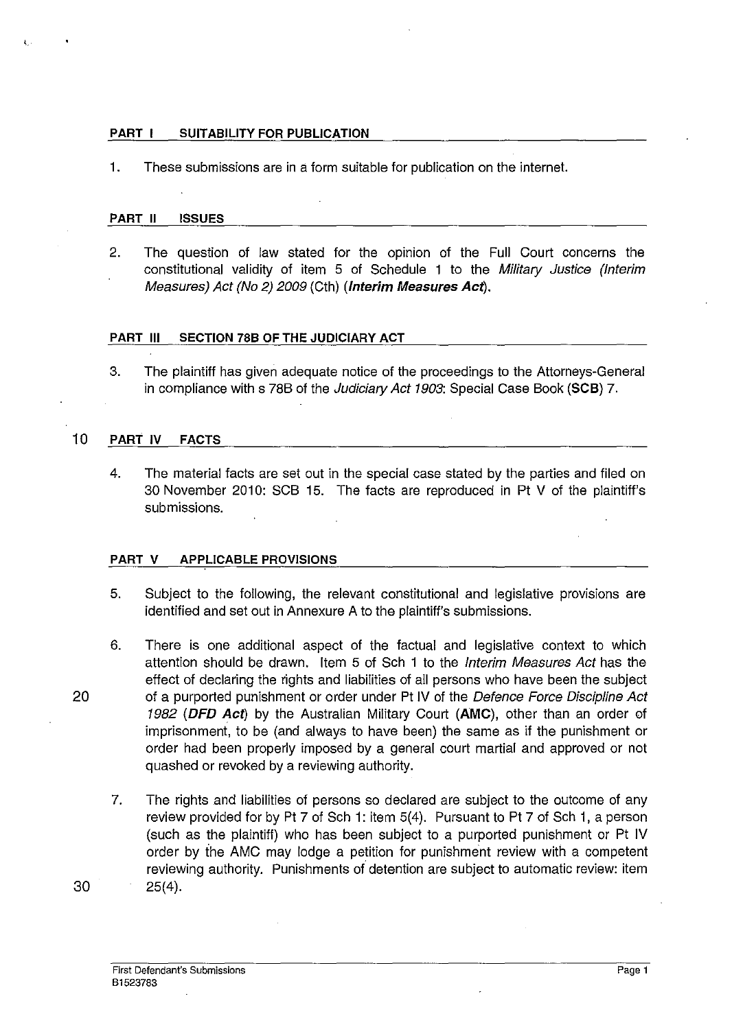#### PART I SUITABILITY FOR PUBLICATION

1. These submissions are in a form suitable for publication on the interne!.

#### PART II ISSUES

2. The question of law stated for the opinion of the Full Court concerns the constitutional validity of item 5 of Schedule 1 to the Military Justice (Interim Measures) Act (No 2) 2009 (Cth) (Interim Measures Act).

## PART III SECTION 78B OF THE JUDICIARY ACT

3. The plaintiff has given adequate notice of the proceedings to the Attorneys-General in compliance with s 78B of the Judiciary Act 1903: Special Case Book (SCB) 7.

## 10 PART IV FACTS

4. The material facts are set out in the special case stated by the parties and filed on 30 November 2010: SCB 15. The facts are reproduced in Pt V of the plaintiff's submissions.

#### PART V APPLICABLE PROVISIONS

- 5. Subject to the following, the relevant constitutional and legislative provisions are identified and set out in Annexure A to the plaintiff's submissions.
- 6. There is one additional aspect of the factual and legislative context to which attention should be drawn. Item 5 of Sch 1 to the Interim Measures Act has the effect of declaring the rights and liabilities of all persons who have been the subject 20 of a purported punishment or order under Pt IV of the Defence Force Discipline Act 1982 (DFD Act) by the Australian Military Court (AMC), other than an order of imprisonment, to be (and always to have been) the same as if the punishment or order had been properly imposed by a general court martial and approved or not quashed or revoked by a reviewing authority.
	- 7. The rights and liabilities of persons so declared are subject to the outcome of any review provided for by Pt 7 of Sch 1: item 5(4). Pursuant to Pt 7 of Sch 1, a person (such as the plaintiff) who has been subject to a purported punishment or Pt IV order by ihe AMC may lodge a petition for punishment review with a competent reviewing authority. Punishments of detention are subject to automatic review: item 25(4).

30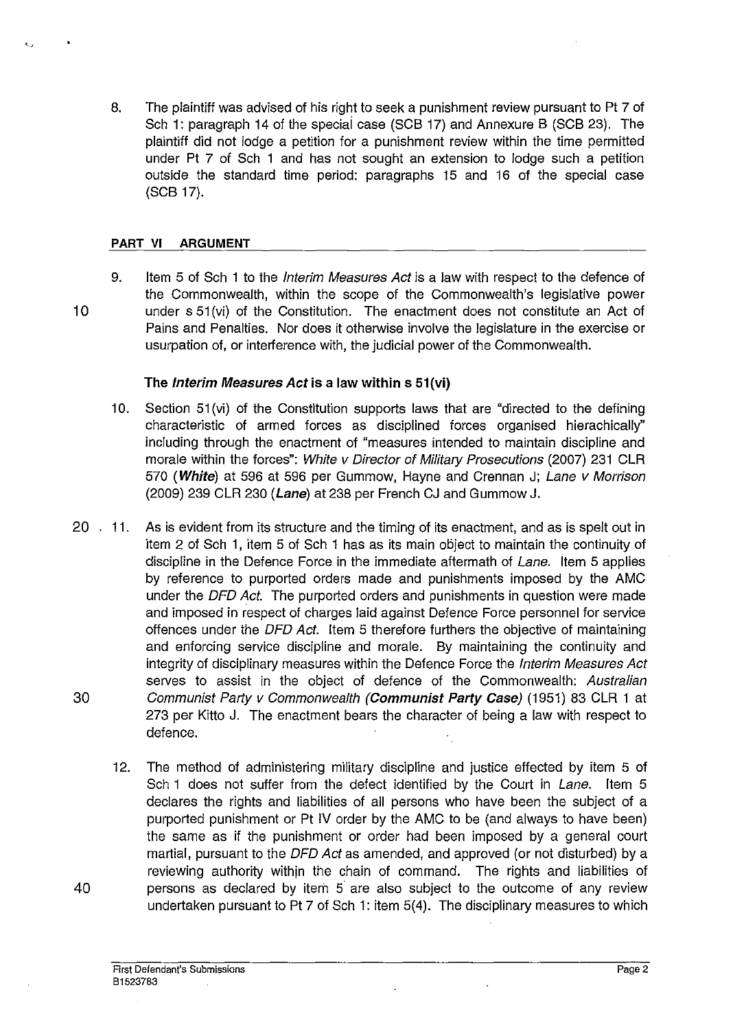8. The plaintiff was advised of his right to seek a punishment review pursuant to Pt 7 of Sch 1: paragraph 14 of the speciai case (SCB 17) and Annexure B (SCB 23). The plaintiff did not lodge a petition for a punishment review within the time permitted under Pt 7 of Sch 1 and has not sought an extension to lodge such a petition outside the standard time period: paragraphs 15 and 16 of the special case (SCB 17).

#### **PART VI ARGUMENT**

9. Item 5 of Sch 1 to the *Interim Measures Act* is a law with respect to the defence of the Commonwealth, within the scope of the Commonwealth's legislative power 10 under s 51 (vi) of the Constitution. The enactment does not constitute an Act of Pains and Penalties. Nor does it otherwise involve the legislature in the exercise or usurpation of, or interference with, the judicial power of the Commonwealth.

## **The** Interim Measures *Act* is a law **within** s 51(vi)

- 10. Section 51 (vi) of the Constitution supports laws that are "directed to the defining characteristic of armed forces as disciplined forces organised hierachically" including through the enactment of "measures intended to maintain discipline and morale within the forces": White v Director of Military Prosecutions (2007) 231 CLR 570 (White) at 596 at 596 per Gummow, Hayne and Crennan J; Lane v Morrison  $(2009)$  239 CLR 230 (Lane) at 238 per French CJ and Gummow J.
- 20 . 11. As is evident from its structure and the timing of its enactment, and as is spelt out in item 2 of Sch 1, item 5 of Sch 1 has as its main object to maintain the continuity of discipline in the Defence Force in the immediate aftermath of Lane. Item 5 applies by reference to purported orders made and punishments imposed by the AMC under the DFD Act. The purported orders and punishments in question were made and imposed in respect of charges laid against Defence Force personnel for service offences under the DFD Act. Item 5 therefore furthers the objective of maintaining and enforcing service discipline and morale. By maintaining the continuity and integrity of disciplinary measures within the Defence Force the Interim Measures Act serves to assist in the object of defence of the Commonwealth: Australian 30 Communist Party v Commonwealth (Communist Party Case) (1951) 83 CLR 1 at 273 per Kitto J. The enactment bears the character of being a law with respect to defence.
- 12. The method of administering military discipline and justice effected by item 5 of Sch 1 does not suffer from the defect identified by the Court in Lane. Item 5 declares the rights and liabilities of all persons who have been the subject of a purported punishment or Pt IV order by the AMC to be (and always to have been) the same as if the punishment or order had been imposed by a general court martial, pursuant to the DFD Act as amended, and approved (or not disturbed) by a reviewing authority within the chain of command. The rights and liabilities of 40 persons as declared by item 5 are also subject to the outcome of any review undertaken pursuant to Pt 7 of Sch 1: item 5(4). The disciplinary measures to which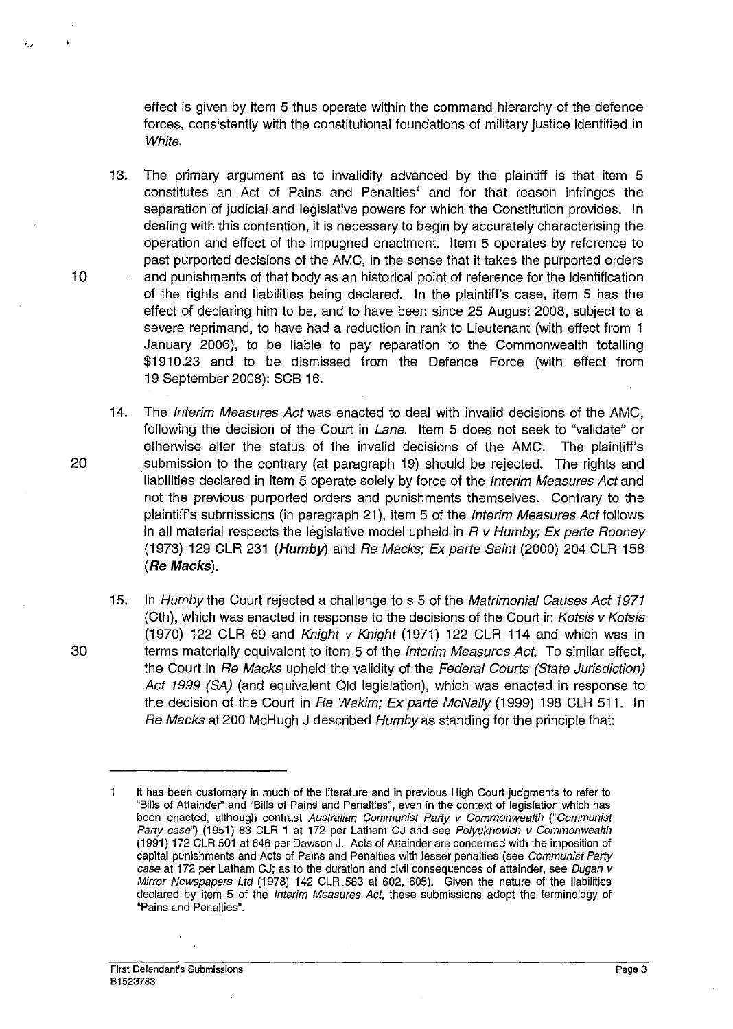effect is given by item 5 thus operate within the command hierarchy of the defence forces, consistently with the constitutional foundations of military justice identified in White.

13. The primary argument as to invalidity advanced by the plaintiff is that item 5 constitutes an Act of Pains and Penalties' and for that reason infringes the separation of judicial and legislative powers for which the Constitution provides. In dealing with this contention, it is necessary to begin by accurately characterising the operation and effect of the impugned enactment. Item 5 operates by reference to past purported decisions of the AMC, in the sense that it takes the purported orders 10 and punishments of that body as an historical point of reference for the identification of the rights and liabilities being declared. In the plaintiff's case, item 5 has the effect of declaring him to be, and to have been since 25 August 2008, subject to a severe reprimand, to have had a reduction in rank to Lieutenant (with effect from 1 January 2006), to be liable to pay reparation to the Commonwealth totalling \$1910.23 and to be dismissed from the Defence Force (with effect from 19 September 2008): SCB 16.

- 14. The Interim Measures Act was enacted to deal with invalid decisions of the AMC, following the decision of the Court in Lane. Item 5 does not seek to "validate" or otherwise alter the status of the invalid decisions of the AMC. The plaintiff's 20 submission to the contrary (at paragraph 19) should be rejected. The rights and liabilities declared in item 5 operate solely by force of the Interim Measures Act and not the previous purported orders and punishments themselves. Contrary to the plaintiff's submissions (in paragraph 21), item 5 of the Interim Measures Act follows in all material respects the legislative model upheld in  $R$  v Humby; Ex parte Rooney (1973) 129 CLR 231 (Humby) and Re Macks; Ex parte Saint (2000) 204 CLR 158 (Re Macks).
- 15. In Humby the Court rejected a challenge to s 5 of the Matrimonial Causes Act 1971 (Cth), which was enacted in response to the decisions of the Court in Kotsis v Kotsis (1970) 122 CLR 69 and Knight v Knight (1971) 122 CLR 114 and which was in 30 terms materially equivalent to item 5 of the Interim Measures Act. To similar effect, the Court in Re Macks upheld the validity of the Federal Courts (State Jurisdiction) Act 1999 (SA) (and equivalent Qld legislation), which was enacted in response to the decision of the Court in Re Wakim; Ex parte McNally (1999) 198 CLR 511. In Re Macks at 200 McHugh J described Humby as standing for the principle that:

It has been customary in much of the literature and in previous High Court judgments to refer to  $\mathbf{1}$ "Bills of Attainder' and "Bills of Pains and Penalties", even in the context of legislation which has been enacted, although contrast Australian Communist Party v Commonwealth ("Communist Party case") (1951) 83 CLR 1 at 172 per Latham CJ and see Polyukhovich v Commonwealth (1991) 172 CLR 501 at 646 per Dawson J. Acts of Attainder are concerned with the imposition of capital punishments and Acts of Pains and Penalties with lesser penalties (see Communist Party case at 172 per Latham GJ; as to the duration and civil consequences of attainder, see Dugan v Mirror Newspapers Ltd (1978) 142 CLR 583 at 602, 605). Given the nature of the liabilities declared by item 5 of the Interim Measures Act, these submissions adopt the terminology of **'Pains and Penalties".**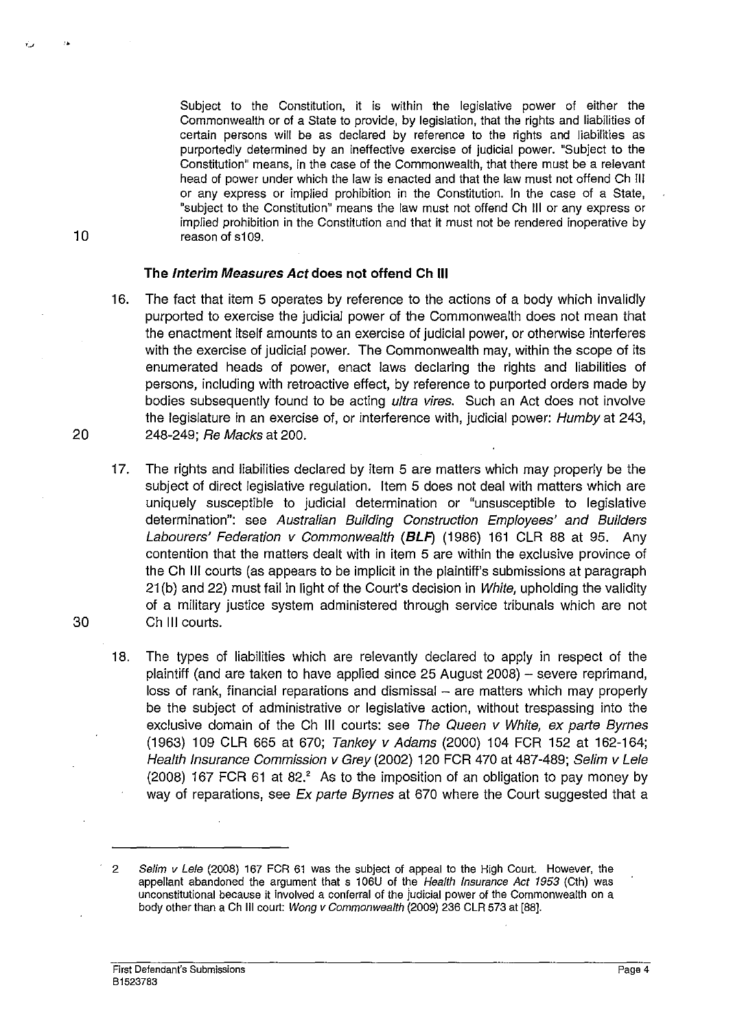Subject to the Constitution, it is within the legislative power of either the Commonwealth or of a State to provide, by legislation, that the rights and liabilities of certain persons will be as declared by reference to the rights and liabilities as purportedly determined by an ineffective exercise of judicial power. "Subject to the Constitution" means, in the case of the Commonwealth, that there must be a relevant head of power under which the law is enacted and that the law must not offend Ch III or any express or implied prohibition in the Constitution, In the case of a State, "subject to the Constitution" means the law must not offend Ch III or any express or implied prohibition in the Constitution and that it must not be rendered inoperative by reason of s109.

#### **The Interim Measures Act does not offend Ch III**

- 16. The fact that item 5 operates by reference to the actions of a body which invalidly purported to exercise the judicial power of the Commonwealth does not mean that the enactment itself amounts to an exercise of judicial power, or otherwise interferes with the exercise of judicial power. The Commonwealth may, within the scope of its enumerated heads of power, enact laws declaring the rights and liabilities of persons, including with retroactive effect, by reference to purported orders made by bodies subsequently found to be acting *ultra vires*. Such an Act does not involve the legislature in an exercise of, or interference with, judicial power: Humbyat 243, 20 248-249; Re Macks at 200.
- 17. The rights and liabilities declared by item 5 are matters which may properly be the subject of direct legislative regulation. Item 5 does not deal with matters which are uniquely susceptible to judicial determination or "unsusceptible to legislative determination": see Australian Building Construction Employees' and Builders Labourers' Federation v Commonwealth *(BLP)* (1986) 161 CLR 88 at 95. Any contention that the matters dealt with in item 5 are within the exclusive province of the Ch III courts (as appears to be implicit in the plaintiff's submissions at paragraph 21 (b) and 22) must fail in light of the Court's decision in White, upholding the validity of a military justice system administered through service tribunals which are not 30 Ch III courts.
	- 18. The types of liabilities which are relevantly declared to apply **in** respect of the plaintiff (and are taken to have applied since 25 August 2008) - severe reprimand, loss of rank, financial reparations and dismissal - are matters which may properly be the subject of administrative or legislative action, without trespassing into the exclusive domain of the Ch III courts: see The Queen v White, ex parte Byrnes (1963) 109 CLR 665 at 670; Tankey v Adams (2000) 104 FCR 152 at 162-164; Health Insurance Commission v Grey (2002) 120 FCR 470 at 487-489; Selim v Lele (2008) 167 FCR 61 at 82.' As to the imposition of an obligation to pay money by way of reparations, see Ex parte Byrnes at 670 where the Court suggested that a

10

'.

<sup>2</sup> Selim v Lele (2008) 167 FCR 61 was the subject of appeal to the High Court. However, the appellant abandoned the argument that s 106U of the Health Insurance Act 1953 (Cth) was unconstitutional because it involved a conferral of the judicial power of the Commonwealth on a body other than a Ch III court: Wong v Commonwealth (2009) 236 CLR 573 at [88J,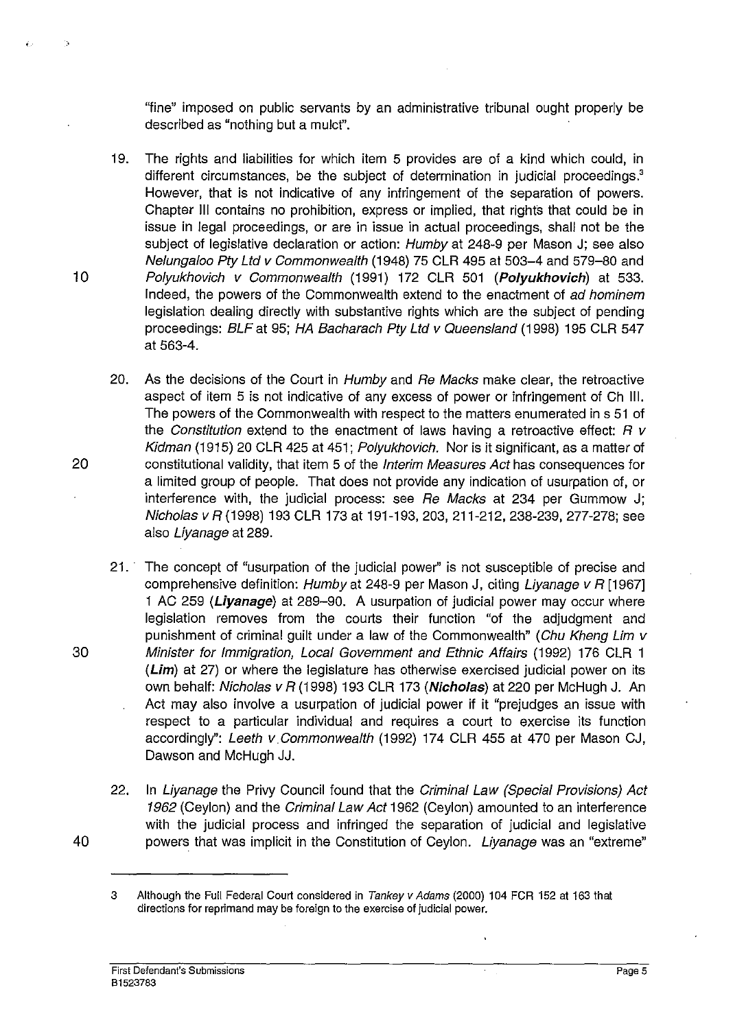"fine" imposed on public servants by an administrative tribunal ought properly be described as "nothing but a mulc!".

- 19. The rights and liabilities for which item 5 provides are of a kind which could, in different circumstances, be the subject of determination in judicial proceedings.<sup>3</sup> However, that is not indicative of any infringement of the separation of powers. Chapter III contains no prohibition, express or implied, that rights that could be in issue in legal proceedings, or are in issue in actual proceedings, shall not be the subject of legislative declaration or action: Humby at 248-9 per Mason J; see also Nelungaloo Pty Ltd v Commonwealth (1948) 75 CLR 495 at 503-4 and 579-80 and 10 Polyukhovich v Commonwealth (1991) 172 CLR 501 (Polyukhovich) at 533. Indeed, the powers of the Commonwealth extend to the enactment of ad hominem legislation dealing directly with substantive rights which are the subject of pending proceedings: BLF at 95; HA Bacharach Pty Ltd v Queensland (1998) 195 CLR 547 at 563-4.
- 20. As the decisions of the Court in Humby and Re Macks make clear, the retroactive aspect of item 5 is not indicative of any excess of power or infringement of Ch Ill. The powers of the Commonwealth with respect to the matters enumerated in s 51 of the Constitution extend to the enactment of laws having a retroactive effect:  $R$  v Kidman (1915) 20 CLR 425 at 451; Polyukhovich. Nor is it significant, as a matter of 20 constitutional validity, that item 5 of the Interim Measures Act has consequences for a limited group of people. That does not provide any indication of usurpation of, or interference with, the judicial process: see Re Macks at 234 per Gummow J; Nicholas v R (1998) 193 CLR 173 at 191-193, 203, 211-212, 238-239, 277-278; see also Liyanage at 289.
- 21.' The concept of "usurpation of the judicial power" is not susceptible of precise and comprehensive definition:  $Hump$  at 248-9 per Mason J, citing Livanage v R [1967] 1 AC 259 (Liyanage) at 289-90. A usurpation of judicial power may occur where legislation removes from the courts their function "of the adjudgment and punishment of criminal guilt under a law of the Commonwealth" (Chu Kheng Lim v 30 Minister for Immigration, Local Govemment and Ethnic Affairs (1992) 176 CLR 1 (Lim) at 27) or where the legislature has otherwise exercised judicial power on its own behalf: Nicholas v R (1998) 193 CLR 173 (Nicholas) at 220 per McHugh J. An Act may also involve a usurpation of judicial power if it "prejudges an issue with respect to a particular individual and requires a court to exercise its function accordingly": Leeth v Commonwealth (1992) 174 CLR 455 at 470 per Mason CJ, Dawson and McHugh JJ.
- 22. In Liyanage the Privy Council found that the Criminal Law (Special Provisions) Act 1962 (Ceylon) and the Criminal Law Act 1962 (Ceylon) amounted to an interference with the judicial process and infringed the separation of judicial and legislative 40 powers that was implicit in the Constitution of Ceylon. Liyanage was an "extreme"

<sup>3</sup> Although the Full Federal Court considered in Tankey v Adams (2000) 104 FCR 152 at 163 that directions for reprimand may be foreign to the exercise of judicial power.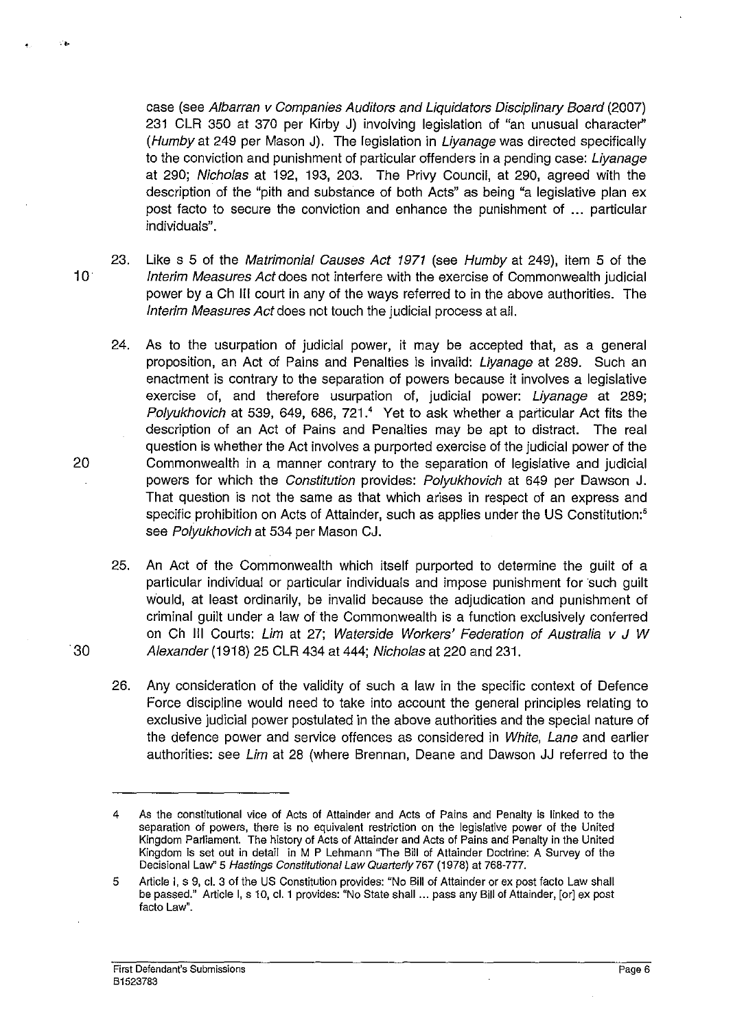case (see Albarran v Companies Auditors and Liquidators Disciplinary Board (2007) 231 CLR 350 at 370 per Kirby J) involving legislation of "an unusual character" (Humbyat 249 per Mason J). The legislation in Liyanage was directed specifically to the conviction and punishment of particular offenders in a pending case: Liyanage at 290; Nicholas at 192, 193, 203. The Privy Council, at 290, agreed with the description of the "pith and substance of both Acts" as being "a legislative plan ex post facto to secure the conviction and enhance the punishment of ... particular individuals".

- 23. Like s 5 of the Matrimonial Causes Act 1971 (see Humbyat 249), item 5 of the 10 Interim Measures Act does not interfere with the exercise of Commonwealth judicial power by a Ch III court in any of the ways referred to in the above authorities. The Interim Measures Act does not touch the judicial process at all.
- 24. As to the usurpation of judicial power, it may be accepted that, as a general proposition, an Act of Pains and Penalties is invalid: Liyanage at 289. Such an enactment is contrary to the separation of powers because it involves a legislative exercise of, and therefore usurpation of, judicial power: Liyanage at 289; Polyukhovich at 539, 649, 686, 721.<sup>4</sup> Yet to ask whether a particular Act fits the description of an Act of Pains and Penalties may be apt to distract. The real question is whether the Act involves a purported exercise of the judicial power of the 20 Commonwealth in a manner contrary to the separation of legislative and judicial powers for which the Constitution provides: Polyukhovich at 649 per Dawson J. That question is not the same as that which arises in respect of an express and specific prohibition on Acts of Attainder, such as applies under the US Constitution:<sup>5</sup> see Polyukhovich at 534 per Mason CJ.
- 25. An Act of the Commonwealth which itself purported to determine the guilt of a particular individual or particular individuals and impose punishment for such guilt WOUld, at least ordinarily, be invalid because the adjudication and punishment of criminal quilt under a law of the Commonwealth is a function exclusively conferred on Ch III Courts: Lim at 27; Waterside Workers' Federation of Australia v J W *30* Alexander (1918) 25 CLR 434 at 444; Nicholas at 220 and 231.
	- 26. Any consideration of the validity of such a law in the specific context of Defence Force discipline would need to take into account the general principles relating to exclusive judicial power postulated in the above authorities and the special nature of the defence power and service offences as considered in White, Lane and earlier authorities: see Lim at 28 (where Brennan, Deane and Dawson JJ referred to the

·0

<sup>4</sup> As the constitutional vice of Acts of Attainder and Acts of Pains and Penalty is linked to the separation of powers, there is no equivalent restriction on the legislative power of the United Kingdom Parliament. The history of Acts of Attainder and Acts of Pains and Penalty in the United Kingdom is set out in detail in M P Lehmann "The Bill of Attainder Doctrine: A Survey of the Decisional Law" 5 Hastings Constitutional Law Quarterly 767 (1978) at 768·777.

<sup>5</sup> Article I, s 9, cl. 3 of the US Constitution provides: "No Bill of Attainder or ex post facto Law shall be passed." Article I, s 10, cl. 1 provides: "No State shall ... pass any Bill of Attainder, [or] ex post facto Law".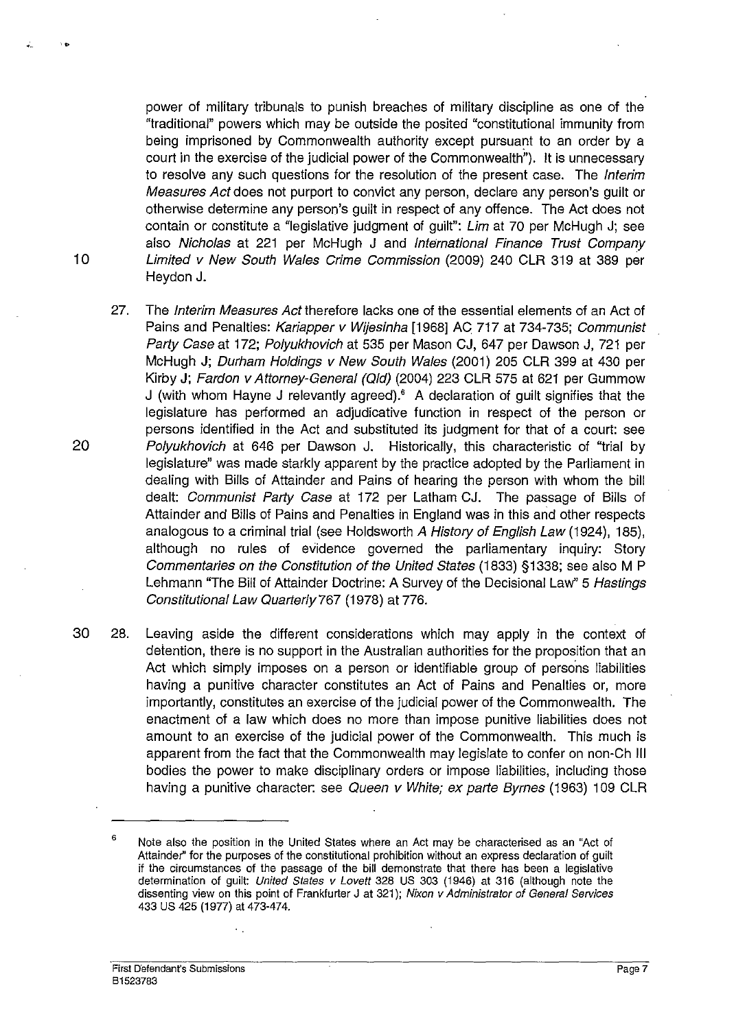power of military tribunals to punish breaches of military discipline as one of the "traditional" powers which may be outside the posited "constitutional immunity from being imprisoned by Commonwealth authority except pursuant to an order by a court in the exercise of the judicial power of the Commonwealth"). It is unnecessary to resolve any such questions for the resolution of the present case. The *Interim* Measures Act does not purport to convict any person, declare any person's guilt or otherwise determine any person's guilt in respect of any offence. The Act does not contain or constitute a "legislative judgment of guilt": Lim at 70 per McHugh J; see also Nicholas at 221 per McHugh J and International Finance Trust Company 10 Limited v New South Wales Crime Commission (2009) 240 CLR 319 at 389 per Heydon J.

- 27. The Interim Measures Act therefore lacks one of the essential elements of an Act of Pains and Penalties: Kariapper v Wijesinha [1968] AC 717 at 734-735; Communist Party Case at 172; Polyukhovich at 535 per Mason CJ, 647 per Dawson J, 721 per McHugh J; Durham Holdings v New South Wales (2001) 205 CLR 399 at 430 per Kirby J; Fardon v Attorney-General (Qld) (2004) 223 CLR 575 at 621 per Gummow J (with whom Hayne J relevantly agreed).<sup>6</sup> A declaration of quilt signifies that the legislature has performed an adjudicative function in respect of the person or persons identified in the Act and substituted its judgment for that of a court: see 20 Polyukhovich at 646 per Dawson J. Historically, this characteristic of "trial by legislature" was made starkly apparent by the practice adopted by the Parliament in dealing with Bills of Attainder and Pains of hearing the person with whom the bill dealt: Communist Party Case at 172 per Latham CJ. The passage of Bills of Attainder and Bills of Pains and Penalties in England was in this and other respects analogous to a criminal trial (see Holdsworth A History of English Law (1924), 185), although no rules of evidence govemed the parliamentary inquiry: Story Commentaries on the Constitution of the United States (1833) §1338; see also M P Lehmann "The Bill of Attainder Doctrine: A Survey of the Decisional Law" 5 Hastings Constitutional Law Quarterly 767 (1978) at 776.
- 30 28. Leaving aside the different considerations which may apply in the context of deiention, there is no support in the Australian authorities for the proposition that an Act which simply imposes on a person or identifiable group of persons liabilities having a punitive character constitutes an Act of Pains and Penalties or, more importantly, constitutes an exercise of the judicial power of the Commonwealth. The enactment of a law which does no more than impose punitive liabilities does not amount to an exercise of the judicial power of the Commonwealth. This much is apparent from the fact that the Commonwealth may legislate to confer on non-Ch III bodies the power to make disciplinary orders or impose liabilities, including those having a punitive character: see Queen v White; ex parte Byrnes (1963) 109 CLR

<sup>,</sup>  Note also the position in the United States where an Act may be characterised as an "Act of Attainder" for the purposes of the constitutional prohibition without an express declaration of guilt if the circumstances of the passage of the bill demonstrate that there has been a legislative determination of guilt: United States v Lovett 328 US 303 (1946) at 316 (although note the dissenting view on this point of Frankfurter J at 321); Nixon v Administrator of General Services 433 US 425 (1977) at 473-474.